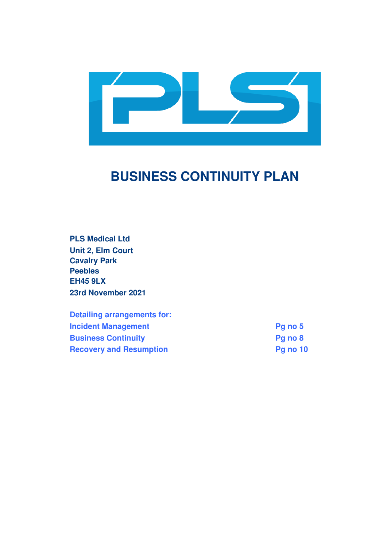

# **BUSINESS CONTINUITY PLAN**

**PLS Medical Ltd Unit 2, Elm Court Cavalry Park Peebles EH45 9LX 23rd November 2021** 

**Detailing arrangements for: Incident Management Pg no 5 Business Continuity Pg no 8 Recovery and Resumption Pg no 10**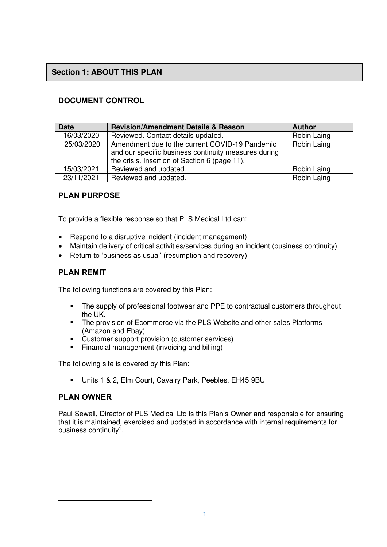## **Section 1: ABOUT THIS PLAN**

## **DOCUMENT CONTROL**

| <b>Date</b> | <b>Revision/Amendment Details &amp; Reason</b>                                                                                                          | <b>Author</b> |
|-------------|---------------------------------------------------------------------------------------------------------------------------------------------------------|---------------|
| 16/03/2020  | Reviewed. Contact details updated.                                                                                                                      | Robin Laing   |
| 25/03/2020  | Amendment due to the current COVID-19 Pandemic<br>and our specific business continuity measures during<br>the crisis. Insertion of Section 6 (page 11). | Robin Laing   |
| 15/03/2021  | Reviewed and updated.                                                                                                                                   | Robin Laing   |
| 23/11/2021  | Reviewed and updated.                                                                                                                                   | Robin Laing   |

## **PLAN PURPOSE**

To provide a flexible response so that PLS Medical Ltd can:

- Respond to a disruptive incident (incident management)
- Maintain delivery of critical activities/services during an incident (business continuity)
- Return to 'business as usual' (resumption and recovery)

#### **PLAN REMIT**

The following functions are covered by this Plan:

- **•** The supply of professional footwear and PPE to contractual customers throughout the UK.
- **•** The provision of Ecommerce via the PLS Website and other sales Platforms (Amazon and Ebay)
- Customer support provision (customer services)
- **•** Financial management (invoicing and billing)

The following site is covered by this Plan:

▪ Units 1 & 2, Elm Court, Cavalry Park, Peebles. EH45 9BU

#### **PLAN OWNER**

Paul Sewell, Director of PLS Medical Ltd is this Plan's Owner and responsible for ensuring that it is maintained, exercised and updated in accordance with internal requirements for business continuity<sup>1</sup>.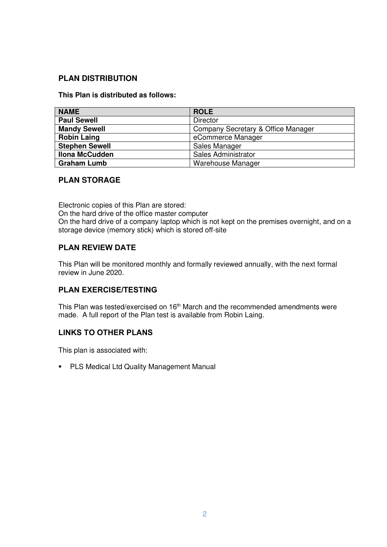## **PLAN DISTRIBUTION**

#### **This Plan is distributed as follows:**

| <b>NAME</b>           | <b>ROLE</b>                        |
|-----------------------|------------------------------------|
| <b>Paul Sewell</b>    | <b>Director</b>                    |
| <b>Mandy Sewell</b>   | Company Secretary & Office Manager |
| <b>Robin Laing</b>    | eCommerce Manager                  |
| <b>Stephen Sewell</b> | Sales Manager                      |
| <b>Ilona McCudden</b> | Sales Administrator                |
| <b>Graham Lumb</b>    | Warehouse Manager                  |

#### **PLAN STORAGE**

Electronic copies of this Plan are stored: On the hard drive of the office master computer On the hard drive of a company laptop which is not kept on the premises overnight, and on a storage device (memory stick) which is stored off-site

## **PLAN REVIEW DATE**

This Plan will be monitored monthly and formally reviewed annually, with the next formal review in June 2020.

## **PLAN EXERCISE/TESTING**

This Plan was tested/exercised on 16<sup>th</sup> March and the recommended amendments were made. A full report of the Plan test is available from Robin Laing.

#### **LINKS TO OTHER PLANS**

This plan is associated with:

■ PLS Medical Ltd Quality Management Manual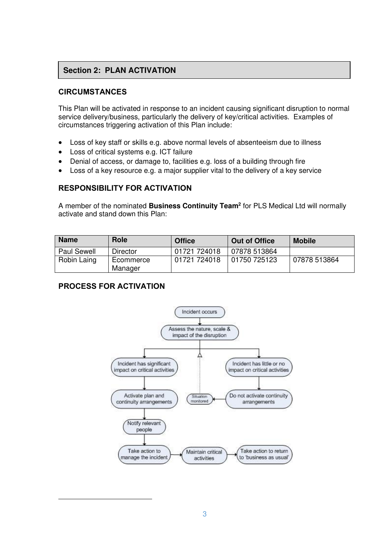# **Section 2: PLAN ACTIVATION**

## **CIRCUMSTANCES**

This Plan will be activated in response to an incident causing significant disruption to normal service delivery/business, particularly the delivery of key/critical activities. Examples of circumstances triggering activation of this Plan include:

- Loss of key staff or skills e.g. above normal levels of absenteeism due to illness
- Loss of critical systems e.g. ICT failure
- Denial of access, or damage to, facilities e.g. loss of a building through fire
- Loss of a key resource e.g. a major supplier vital to the delivery of a key service

## **RESPONSIBILITY FOR ACTIVATION**

A member of the nominated **Business Continuity Team<sup>2</sup>** for PLS Medical Ltd will normally activate and stand down this Plan:

| <b>Name</b>        | Role                 | <b>Office</b> | <b>Out of Office</b>  | <b>Mobile</b> |
|--------------------|----------------------|---------------|-----------------------|---------------|
| <b>Paul Sewell</b> | <b>Director</b>      | 01721 724018  | 07878 513864          |               |
| Robin Laing        | Ecommerce<br>Manager | 01721 724018  | 01750 725123 <b>·</b> | 07878 513864  |

## **PROCESS FOR ACTIVATION**

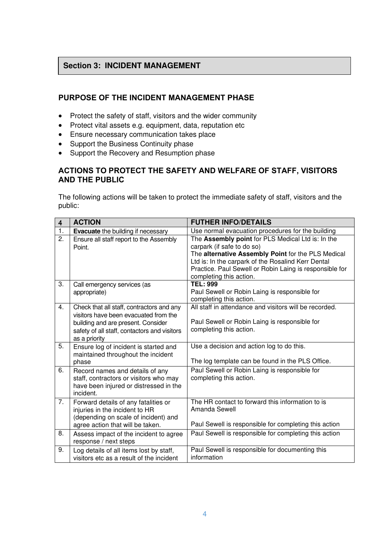## **Section 3: INCIDENT MANAGEMENT**

٦

## **PURPOSE OF THE INCIDENT MANAGEMENT PHASE**

- Protect the safety of staff, visitors and the wider community
- Protect vital assets e.g. equipment, data, reputation etc
- Ensure necessary communication takes place
- Support the Business Continuity phase
- Support the Recovery and Resumption phase

#### **ACTIONS TO PROTECT THE SAFETY AND WELFARE OF STAFF, VISITORS AND THE PUBLIC**

The following actions will be taken to protect the immediate safety of staff, visitors and the public:

| $\overline{\mathbf{4}}$ | <b>ACTION</b>                                                                                                                                                                             | <b>FUTHER INFO/DETAILS</b>                                                                                                                                                                                                                                                        |
|-------------------------|-------------------------------------------------------------------------------------------------------------------------------------------------------------------------------------------|-----------------------------------------------------------------------------------------------------------------------------------------------------------------------------------------------------------------------------------------------------------------------------------|
| $\overline{1}$ .        | <b>Evacuate</b> the building if necessary                                                                                                                                                 | Use normal evacuation procedures for the building                                                                                                                                                                                                                                 |
| 2.                      | Ensure all staff report to the Assembly<br>Point.                                                                                                                                         | The Assembly point for PLS Medical Ltd is: In the<br>carpark (if safe to do so)<br>The alternative Assembly Point for the PLS Medical<br>Ltd is: In the carpark of the Rosalind Kerr Dental<br>Practice. Paul Sewell or Robin Laing is responsible for<br>completing this action. |
| 3.                      | Call emergency services (as<br>appropriate)                                                                                                                                               | <b>TEL: 999</b><br>Paul Sewell or Robin Laing is responsible for<br>completing this action.                                                                                                                                                                                       |
| 4.                      | Check that all staff, contractors and any<br>visitors have been evacuated from the<br>building and are present. Consider<br>safety of all staff, contactors and visitors<br>as a priority | All staff in attendance and visitors will be recorded.<br>Paul Sewell or Robin Laing is responsible for<br>completing this action.                                                                                                                                                |
| 5.                      | Ensure log of incident is started and<br>maintained throughout the incident<br>phase                                                                                                      | Use a decision and action log to do this.<br>The log template can be found in the PLS Office.                                                                                                                                                                                     |
| 6.                      | Record names and details of any<br>staff, contractors or visitors who may<br>have been injured or distressed in the<br>incident.                                                          | Paul Sewell or Robin Laing is responsible for<br>completing this action.                                                                                                                                                                                                          |
| 7.                      | Forward details of any fatalities or<br>injuries in the incident to HR<br>(depending on scale of incident) and<br>agree action that will be taken.                                        | The HR contact to forward this information to is<br>Amanda Sewell<br>Paul Sewell is responsible for completing this action                                                                                                                                                        |
| 8.                      | Assess impact of the incident to agree<br>response / next steps                                                                                                                           | Paul Sewell is responsible for completing this action                                                                                                                                                                                                                             |
| 9.                      | Log details of all items lost by staff,<br>visitors etc as a result of the incident                                                                                                       | Paul Sewell is responsible for documenting this<br>information                                                                                                                                                                                                                    |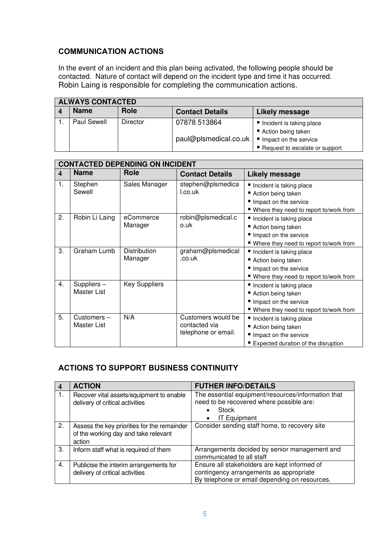## **COMMUNICATION ACTIONS**

In the event of an incident and this plan being activated, the following people should be contacted. Nature of contact will depend on the incident type and time it has occurred. Robin Laing is responsible for completing the communication actions.

| <b>ALWAYS CONTACTED</b> |             |                        |                                                           |
|-------------------------|-------------|------------------------|-----------------------------------------------------------|
| <b>Name</b>             | <b>Role</b> | <b>Contact Details</b> | Likely message                                            |
| Paul Sewell             | Director    | 07878 513864           | Incident is taking place<br>Action being taken            |
|                         |             | paul@plsmedical.co.uk  | Impact on the service<br>■ Request to escalate or support |

|    | <b>CONTACTED DEPENDING ON INCIDENT</b> |                         |                                                            |                                                                                                                       |
|----|----------------------------------------|-------------------------|------------------------------------------------------------|-----------------------------------------------------------------------------------------------------------------------|
| 4  | <b>Name</b>                            | <b>Role</b>             | <b>Contact Details</b>                                     | <b>Likely message</b>                                                                                                 |
| 1. | Stephen<br>Sewell                      | Sales Manager           | stephen@plsmedica<br>I.co.uk                               | Incident is taking place<br>Action being taken<br>Impact on the service<br>■ Where they need to report to/work from   |
| 2. | Robin Li Laing                         | eCommerce<br>Manager    | robin@plsmedical.c<br>o.uk                                 | Incident is taking place<br>■ Action being taken<br>Impact on the service<br>■ Where they need to report to/work from |
| 3. | Graham Lumb                            | Distribution<br>Manager | graham@plsmedical<br>.co.uk                                | Incident is taking place<br>■ Action being taken<br>Impact on the service<br>■ Where they need to report to/work from |
| 4. | Suppliers -<br>Master List             | <b>Key Suppliers</b>    |                                                            | Incident is taking place<br>Action being taken<br>Impact on the service<br>■ Where they need to report to/work from   |
| 5. | Customers-<br>Master List              | N/A                     | Customers would be<br>contacted via<br>telephone or email. | Incident is taking place<br>Action being taken<br>Impact on the service<br>■ Expected duration of the disruption      |

# **ACTIONS TO SUPPORT BUSINESS CONTINUITY**

|    | <b>ACTION</b>                                                                                 | <b>FUTHER INFO/DETAILS</b>                                                                                                               |
|----|-----------------------------------------------------------------------------------------------|------------------------------------------------------------------------------------------------------------------------------------------|
| 1. | Recover vital assets/equipment to enable<br>delivery of critical activities                   | The essential equipment/resources/information that<br>need to be recovered where possible are:<br>Stock<br><b>IT Equipment</b>           |
| 2. | Assess the key priorities for the remainder<br>of the working day and take relevant<br>action | Consider sending staff home, to recovery site                                                                                            |
| 3. | Inform staff what is required of them                                                         | Arrangements decided by senior management and<br>communicated to all staff                                                               |
| 4. | Publicise the interim arrangements for<br>delivery of critical activities                     | Ensure all stakeholders are kept informed of<br>contingency arrangements as appropriate<br>By telephone or email depending on resources. |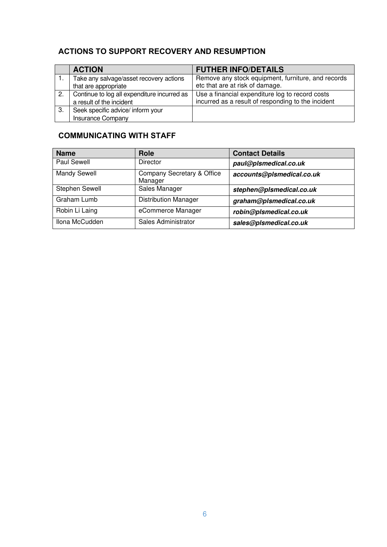# **ACTIONS TO SUPPORT RECOVERY AND RESUMPTION**

|    | <b>ACTION</b>                               | <b>FUTHER INFO/DETAILS</b>                         |
|----|---------------------------------------------|----------------------------------------------------|
|    | Take any salvage/asset recovery actions     | Remove any stock equipment, furniture, and records |
|    | that are appropriate                        | etc that are at risk of damage.                    |
| 2. | Continue to log all expenditure incurred as | Use a financial expenditure log to record costs    |
|    | a result of the incident                    | incurred as a result of responding to the incident |
| 3. | Seek specific advice/ inform your           |                                                    |
|    | <b>Insurance Company</b>                    |                                                    |

# **COMMUNICATING WITH STAFF**

| <b>Name</b>    | <b>Role</b>                           | <b>Contact Details</b>    |
|----------------|---------------------------------------|---------------------------|
| Paul Sewell    | <b>Director</b>                       | paul@plsmedical.co.uk     |
| Mandy Sewell   | Company Secretary & Office<br>Manager | accounts@plsmedical.co.uk |
| Stephen Sewell | Sales Manager                         | stephen@plsmedical.co.uk  |
| Graham Lumb    | <b>Distribution Manager</b>           | graham@plsmedical.co.uk   |
| Robin Li Laing | eCommerce Manager                     | robin@plsmedical.co.uk    |
| Ilona McCudden | Sales Administrator                   | sales@plsmedical.co.uk    |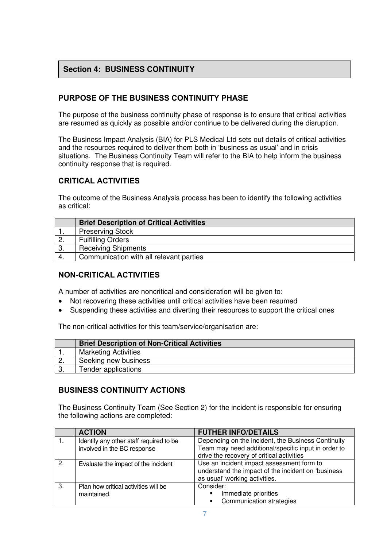## **Section 4: BUSINESS CONTINUITY**

## **PURPOSE OF THE BUSINESS CONTINUITY PHASE**

The purpose of the business continuity phase of response is to ensure that critical activities are resumed as quickly as possible and/or continue to be delivered during the disruption.

The Business Impact Analysis (BIA) for PLS Medical Ltd sets out details of critical activities and the resources required to deliver them both in 'business as usual' and in crisis situations. The Business Continuity Team will refer to the BIA to help inform the business continuity response that is required.

## **CRITICAL ACTIVITIES**

The outcome of the Business Analysis process has been to identify the following activities as critical:

|                  | <b>Brief Description of Critical Activities</b> |
|------------------|-------------------------------------------------|
|                  | <b>Preserving Stock</b>                         |
| $\overline{2}$ . | <b>Fulfilling Orders</b>                        |
| 3.               | <b>Receiving Shipments</b>                      |
|                  | Communication with all relevant parties         |

## **NON-CRITICAL ACTIVITIES**

A number of activities are noncritical and consideration will be given to:

- Not recovering these activities until critical activities have been resumed
- Suspending these activities and diverting their resources to support the critical ones

The non-critical activities for this team/service/organisation are:

|    | <b>Brief Description of Non-Critical Activities</b> |
|----|-----------------------------------------------------|
|    | <b>Marketing Activities</b>                         |
| 2. | Seeking new business                                |
| ൂ  | Tender applications                                 |

#### **BUSINESS CONTINUITY ACTIONS**

The Business Continuity Team (See Section 2) for the incident is responsible for ensuring the following actions are completed:

|    | <b>ACTION</b>                                                          | <b>FUTHER INFO/DETAILS</b>                                                                                                                             |
|----|------------------------------------------------------------------------|--------------------------------------------------------------------------------------------------------------------------------------------------------|
|    | Identify any other staff required to be<br>involved in the BC response | Depending on the incident, the Business Continuity<br>Team may need additional/specific input in order to<br>drive the recovery of critical activities |
| 2. | Evaluate the impact of the incident                                    | Use an incident impact assessment form to<br>understand the impact of the incident on 'business<br>as usual' working activities.                       |
| 3. | Plan how critical activities will be<br>maintained.                    | Consider:<br>Immediate priorities<br>٠<br>Communication strategies                                                                                     |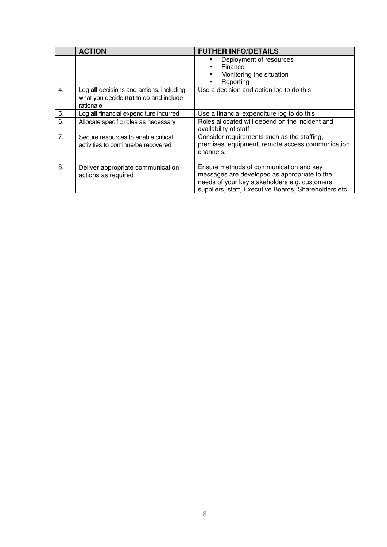|    | <b>ACTION</b>                                                                                  | <b>FUTHER INFO/DETAILS</b>                                                                                                                                                                         |
|----|------------------------------------------------------------------------------------------------|----------------------------------------------------------------------------------------------------------------------------------------------------------------------------------------------------|
|    |                                                                                                | Deployment of resources<br>٠<br>Finance<br>Monitoring the situation<br>٠<br>Reporting                                                                                                              |
| 4. | Log all decisions and actions, including<br>what you decide not to do and include<br>rationale | Use a decision and action log to do this                                                                                                                                                           |
| 5. | Log all financial expenditure incurred                                                         | Use a financial expenditure log to do this                                                                                                                                                         |
| 6. | Allocate specific roles as necessary                                                           | Roles allocated will depend on the incident and<br>availability of staff                                                                                                                           |
| 7. | Secure resources to enable critical<br>activities to continue/be recovered                     | Consider requirements such as the staffing,<br>premises, equipment, remote access communication<br>channels.                                                                                       |
| 8. | Deliver appropriate communication<br>actions as required                                       | Ensure methods of communication and key<br>messages are developed as appropriate to the<br>needs of your key stakeholders e.g. customers,<br>suppliers, staff, Executive Boards, Shareholders etc. |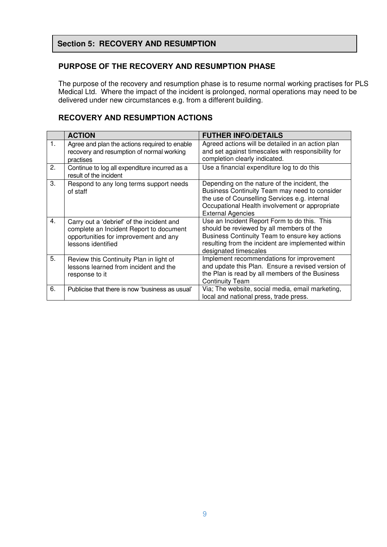## **Section 5: RECOVERY AND RESUMPTION**

#### **PURPOSE OF THE RECOVERY AND RESUMPTION PHASE**

The purpose of the recovery and resumption phase is to resume normal working practises for PLS Medical Ltd. Where the impact of the incident is prolonged, normal operations may need to be delivered under new circumstances e.g. from a different building.

## **RECOVERY AND RESUMPTION ACTIONS**

|                  | <b>ACTION</b>                                                                                                                                       | <b>FUTHER INFO/DETAILS</b>                                                                                                                                                                                                   |
|------------------|-----------------------------------------------------------------------------------------------------------------------------------------------------|------------------------------------------------------------------------------------------------------------------------------------------------------------------------------------------------------------------------------|
| 1.               | Agree and plan the actions required to enable<br>recovery and resumption of normal working<br>practises                                             | Agreed actions will be detailed in an action plan<br>and set against timescales with responsibility for<br>completion clearly indicated.                                                                                     |
| 2.               | Continue to log all expenditure incurred as a<br>result of the incident                                                                             | Use a financial expenditure log to do this                                                                                                                                                                                   |
| 3.               | Respond to any long terms support needs<br>of staff                                                                                                 | Depending on the nature of the incident, the<br>Business Continuity Team may need to consider<br>the use of Counselling Services e.g. internal<br>Occupational Health involvement or appropriate<br><b>External Agencies</b> |
| $\overline{4}$ . | Carry out a 'debrief' of the incident and<br>complete an Incident Report to document<br>opportunities for improvement and any<br>lessons identified | Use an Incident Report Form to do this. This<br>should be reviewed by all members of the<br>Business Continuity Team to ensure key actions<br>resulting from the incident are implemented within<br>designated timescales    |
| 5.               | Review this Continuity Plan in light of<br>lessons learned from incident and the<br>response to it                                                  | Implement recommendations for improvement<br>and update this Plan. Ensure a revised version of<br>the Plan is read by all members of the Business<br><b>Continuity Team</b>                                                  |
| 6.               | Publicise that there is now 'business as usual'                                                                                                     | Via; The website, social media, email marketing,<br>local and national press, trade press.                                                                                                                                   |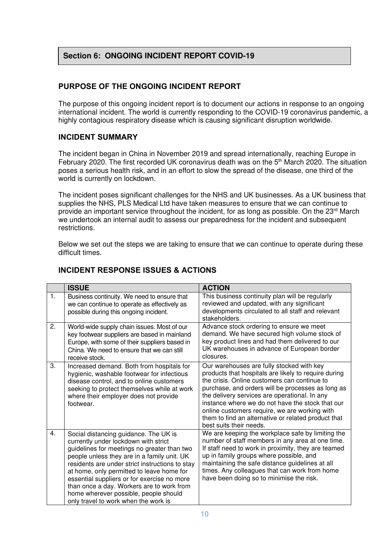## **Section 6: ONGOING INCIDENT REPORT COVID-19**

## **PURPOSE OF THE ONGOING INCIDENT REPORT**

The purpose of this ongoing incident report is to document our actions in response to an ongoing international incident. The world is currently responding to the COVID-19 coronavirus pandemic, a highly contagious respiratory disease which is causing significant disruption worldwide.

#### **INCIDENT SUMMARY**

The incident began in China in November 2019 and spread internationally, reaching Europe in February 2020. The first recorded UK coronavirus death was on the 5<sup>th</sup> March 2020. The situation poses a serious health risk, and in an effort to slow the spread of the disease, one third of the world is currently on lockdown.

The incident poses significant challenges for the NHS and UK businesses. As a UK business that supplies the NHS, PLS Medical Ltd have taken measures to ensure that we can continue to provide an important service throughout the incident, for as long as possible. On the 23<sup>rd</sup> March we undertook an internal audit to assess our preparedness for the incident and subsequent restrictions.

Below we set out the steps we are taking to ensure that we can continue to operate during these difficult times.

|                | <b>ISSUE</b>                                                                                                                                                                                                                                                                                                                                                                                                                                             | <b>ACTION</b>                                                                                                                                                                                                                                                                                                                                                                                                                                  |
|----------------|----------------------------------------------------------------------------------------------------------------------------------------------------------------------------------------------------------------------------------------------------------------------------------------------------------------------------------------------------------------------------------------------------------------------------------------------------------|------------------------------------------------------------------------------------------------------------------------------------------------------------------------------------------------------------------------------------------------------------------------------------------------------------------------------------------------------------------------------------------------------------------------------------------------|
| $\mathbf{1}$ . | Business continuity. We need to ensure that<br>we can continue to operate as effectively as<br>possible during this ongoing incident.                                                                                                                                                                                                                                                                                                                    | This business continuity plan will be regularly<br>reviewed and updated, with any significant<br>developments circulated to all staff and relevant<br>stakeholders.                                                                                                                                                                                                                                                                            |
| 2.             | World-wide supply chain issues. Most of our<br>key footwear suppliers are based in mainland<br>Europe, with some of their suppliers based in<br>China. We need to ensure that we can still<br>receive stock.                                                                                                                                                                                                                                             | Advance stock ordering to ensure we meet<br>demand. We have secured high volume stock of<br>key product lines and had them delivered to our<br>UK warehouses in advance of European border<br>closures.                                                                                                                                                                                                                                        |
| 3.             | Increased demand. Both from hospitals for<br>hygienic, washable footwear for infectious<br>disease control, and to online customers<br>seeking to protect themselves while at work<br>where their employer does not provide<br>footwear.                                                                                                                                                                                                                 | Our warehouses are fully stocked with key<br>products that hospitals are likely to require during<br>the crisis. Online customers can continue to<br>purchase, and orders will be processes as long as<br>the delivery services are operational. In any<br>instance where we do not have the stock that our<br>online customers require, we are working with<br>them to find an alternative or related product that<br>best suits their needs. |
| 4.             | Social distancing guidance. The UK is<br>currently under lockdown with strict<br>guidelines for meetings no greater than two<br>people unless they are in a family unit. UK<br>residents are under strict instructions to stay<br>at home, only permitted to leave home for<br>essential suppliers or for exercise no more<br>than once a day. Workers are to work from<br>home wherever possible, people should<br>only travel to work when the work is | We are keeping the workplace safe by limiting the<br>number of staff members in any area at one time.<br>If staff need to work in proximity, they are teamed<br>up in family groups where possible, and<br>maintaining the safe distance guidelines at all<br>times. Any colleagues that can work from home<br>have been doing so to minimise the risk.                                                                                        |

## **INCIDENT RESPONSE ISSUES & ACTIONS**